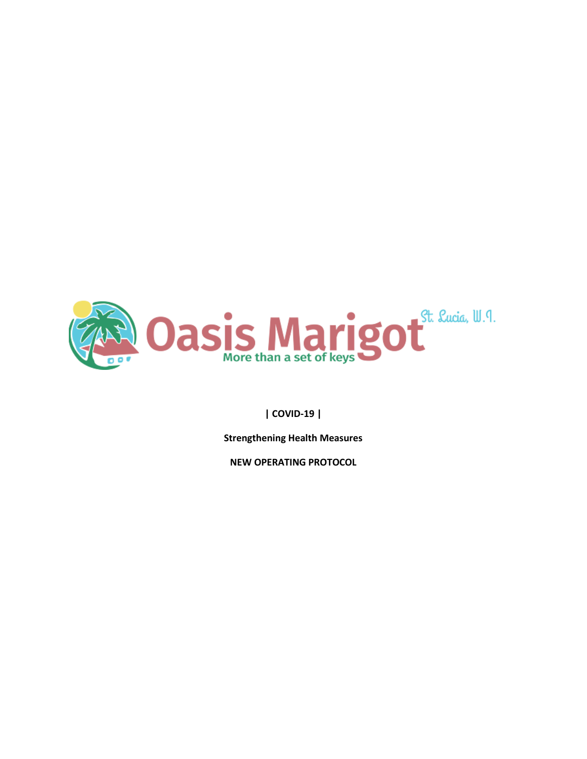

#### **| COVID-19 |**

**Strengthening Health Measures** 

**NEW OPERATING PROTOCOL**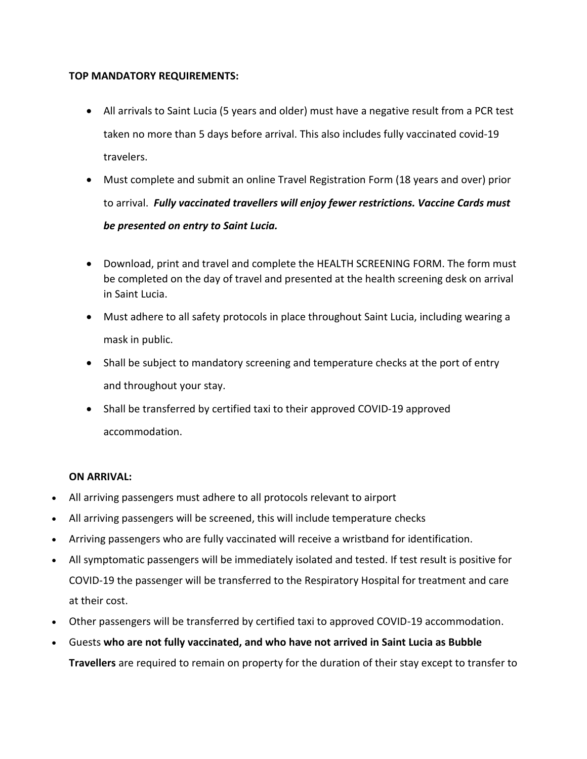#### **TOP MANDATORY REQUIREMENTS:**

- All arrivals to Saint Lucia (5 years and older) must have a negative result from a PCR test taken no more than 5 days before arrival. This also includes fully vaccinated covid-19 travelers.
- Must complete and submit an online Travel Registration Form (18 years and over) prior to arrival. *Fully vaccinated travellers will enjoy fewer restrictions. Vaccine Cards must be presented on entry to Saint Lucia.*
- Download, print and travel and complete the HEALTH [SCREENING](https://34a1ju2gva4u3yrm051vedfb-wpengine.netdna-ssl.com/wp-content/uploads/2020/11/SCREENING-QUESTIONNAIRE-PASSENGERS-6-MOH-3-JUL-2020.pdf) FORM. The form must be completed on the day of travel and presented at the health screening desk on arrival in Saint Lucia.
- Must adhere to all safety protocols in place throughout Saint Lucia, including wearing a mask in public.
- Shall be subject to mandatory screening and temperature checks at the port of entry and throughout your stay.
- Shall be transferred by certified taxi to their approved COVID-19 approved accommodation.

#### **ON ARRIVAL:**

- All arriving passengers must adhere to all protocols relevant to airport
- All arriving passengers will be screened, this will include temperature checks
- Arriving passengers who are fully vaccinated will receive a wristband for identification.
- All symptomatic passengers will be immediately isolated and tested. If test result is positive for COVID-19 the passenger will be transferred to the Respiratory Hospital for treatment and care at their cost.
- Other passengers will be transferred by certified taxi to approved COVID-19 accommodation.
- Guests **who are not fully vaccinated, and who have not arrived in Saint Lucia as Bubble Travellers** are required to remain on property for the duration of their stay except to transfer to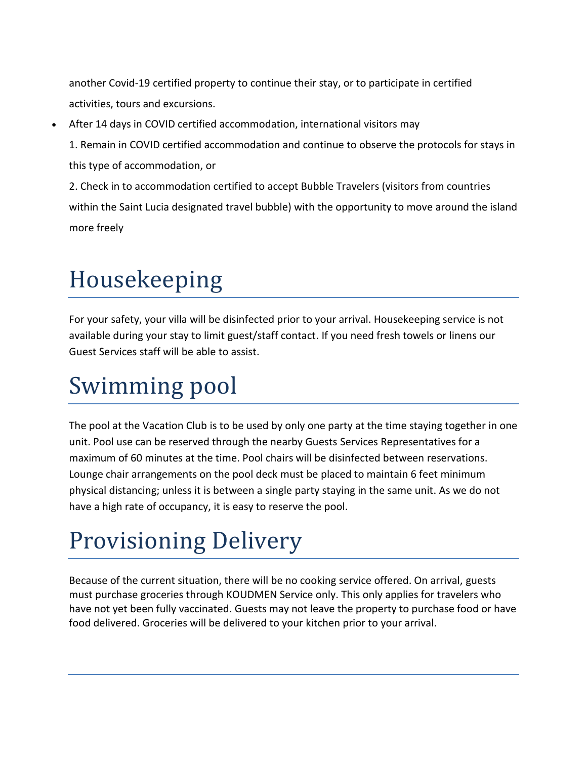another Covid-19 certified property to continue their stay, or to participate in certified activities, tours and excursions.

After 14 days in COVID certified accommodation, international visitors may

1. Remain in COVID certified accommodation and continue to observe the protocols for stays in this type of accommodation, or

2. Check in to accommodation certified to accept Bubble Travelers (visitors from countries within the Saint Lucia designated travel bubble) with the opportunity to move around the island more freely

# Housekeeping

For your safety, your villa will be disinfected prior to your arrival. Housekeeping service is not available during your stay to limit guest/staff contact. If you need fresh towels or linens our Guest Services staff will be able to assist.

## Swimming pool

The pool at the Vacation Club is to be used by only one party at the time staying together in one unit. Pool use can be reserved through the nearby Guests Services Representatives for a maximum of 60 minutes at the time. Pool chairs will be disinfected between reservations. Lounge chair arrangements on the pool deck must be placed to maintain 6 feet minimum physical distancing; unless it is between a single party staying in the same unit. As we do not have a high rate of occupancy, it is easy to reserve the pool.

# Provisioning Delivery

Because of the current situation, there will be no cooking service offered. On arrival, guests must purchase groceries through KOUDMEN Service only. This only applies for travelers who have not yet been fully vaccinated. Guests may not leave the property to purchase food or have food delivered. Groceries will be delivered to your kitchen prior to your arrival.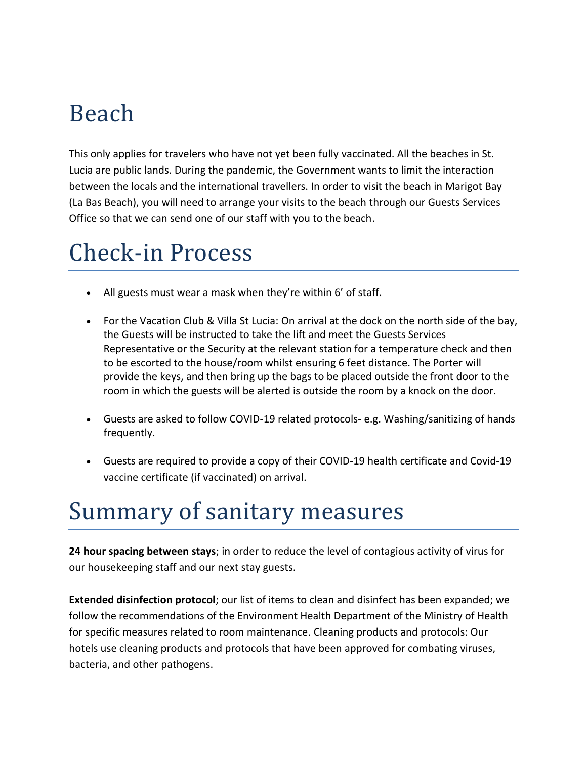### Beach

This only applies for travelers who have not yet been fully vaccinated. All the beaches in St. Lucia are public lands. During the pandemic, the Government wants to limit the interaction between the locals and the international travellers. In order to visit the beach in Marigot Bay (La Bas Beach), you will need to arrange your visits to the beach through our Guests Services Office so that we can send one of our staff with you to the beach.

# Check-in Process

- All guests must wear a mask when they're within 6' of staff.
- For the Vacation Club & Villa St Lucia: On arrival at the dock on the north side of the bay, the Guests will be instructed to take the lift and meet the Guests Services Representative or the Security at the relevant station for a temperature check and then to be escorted to the house/room whilst ensuring 6 feet distance. The Porter will provide the keys, and then bring up the bags to be placed outside the front door to the room in which the guests will be alerted is outside the room by a knock on the door.
- Guests are asked to follow COVID-19 related protocols- e.g. Washing/sanitizing of hands frequently.
- Guests are required to provide a copy of their COVID-19 health certificate and Covid-19 vaccine certificate (if vaccinated) on arrival.

### Summary of sanitary measures

**24 hour spacing between stays**; in order to reduce the level of contagious activity of virus for our housekeeping staff and our next stay guests.

**Extended disinfection protocol**; our list of items to clean and disinfect has been expanded; we follow the recommendations of the Environment Health Department of the Ministry of Health for specific measures related to room maintenance. Cleaning products and protocols: Our hotels use cleaning products and protocols that have been approved for combating viruses, bacteria, and other pathogens.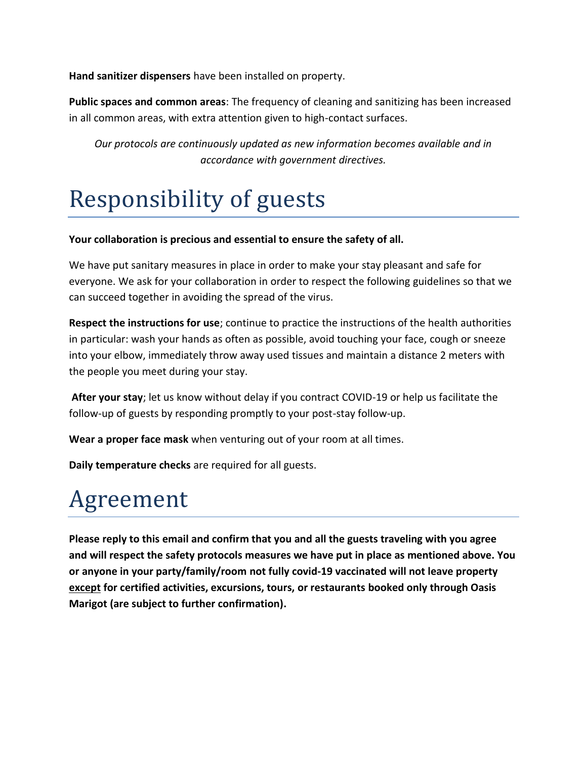**Hand sanitizer dispensers** have been installed on property.

**Public spaces and common areas**: The frequency of cleaning and sanitizing has been increased in all common areas, with extra attention given to high-contact surfaces.

*Our protocols are continuously updated as new information becomes available and in accordance with government directives.*

# Responsibility of guests

#### **Your collaboration is precious and essential to ensure the safety of all.**

We have put sanitary measures in place in order to make your stay pleasant and safe for everyone. We ask for your collaboration in order to respect the following guidelines so that we can succeed together in avoiding the spread of the virus.

**Respect the instructions for use**; continue to practice the instructions of the health authorities in particular: wash your hands as often as possible, avoid touching your face, cough or sneeze into your elbow, immediately throw away used tissues and maintain a distance 2 meters with the people you meet during your stay.

**After your stay**; let us know without delay if you contract COVID-19 or help us facilitate the follow-up of guests by responding promptly to your post-stay follow-up.

**Wear a proper face mask** when venturing out of your room at all times.

**Daily temperature checks** are required for all guests.

### Agreement

**Please reply to this email and confirm that you and all the guests traveling with you agree and will respect the safety protocols measures we have put in place as mentioned above. You or anyone in your party/family/room not fully covid-19 vaccinated will not leave property except for certified activities, excursions, tours, or restaurants booked only through Oasis Marigot (are subject to further confirmation).**